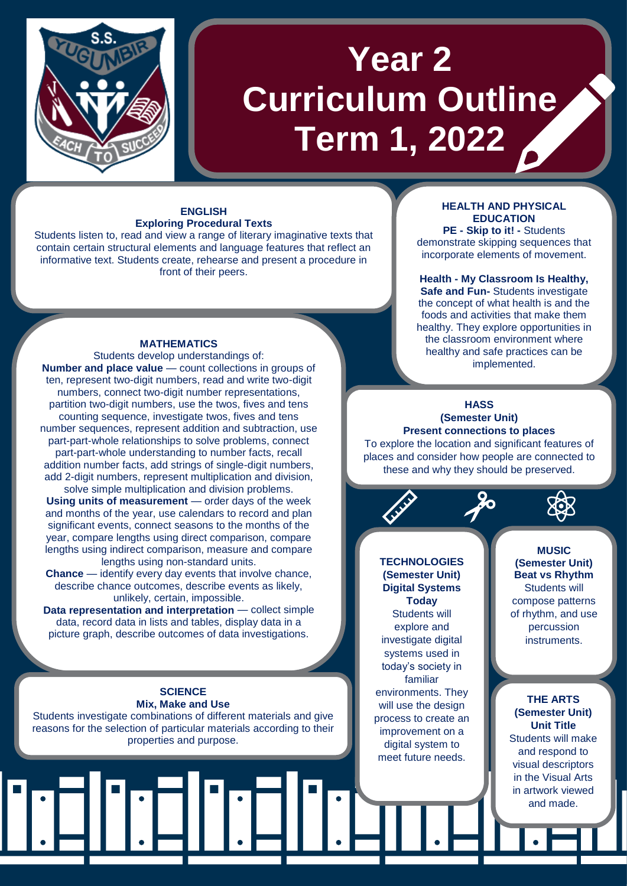

# **Year 2 Curriculum Outline Term 1, 2022**

#### **ENGLISH Exploring Procedural Texts**

Students listen to, read and view a range of literary imaginative texts that contain certain structural elements and language features that reflect an informative text. Students create, rehearse and present a procedure in front of their peers.

# **MATHEMATICS**

Students develop understandings of: **Number and place value** — count collections in groups of ten, represent two-digit numbers, read and write two-digit numbers, connect two-digit number representations, partition two-digit numbers, use the twos, fives and tens counting sequence, investigate twos, fives and tens number sequences, represent addition and subtraction, use part-part-whole relationships to solve problems, connect part-part-whole understanding to number facts, recall addition number facts, add strings of single-digit numbers, add 2-digit numbers, represent multiplication and division, solve simple multiplication and division problems.

**Using units of measurement** — order days of the week and months of the year, use calendars to record and plan significant events, connect seasons to the months of the year, compare lengths using direct comparison, compare lengths using indirect comparison, measure and compare lengths using non-standard units.

**Chance** — identify every day events that involve chance, describe chance outcomes, describe events as likely, unlikely, certain, impossible.

**Data representation and interpretation** — collect simple data, record data in lists and tables, display data in a picture graph, describe outcomes of data investigations.

#### **SCIENCE Mix, Make and Use**

Students investigate combinations of different materials and give reasons for the selection of particular materials according to their properties and purpose.

#### **HEALTH AND PHYSICAL EDUCATION PE - Skip to it! -** Students

demonstrate skipping sequences that incorporate elements of movement.

# **Health - My Classroom Is Healthy,**

**Safe and Fun-** Students investigate the concept of what health is and the foods and activities that make them healthy. They explore opportunities in the classroom environment where healthy and safe practices can be implemented.

# **HASS**

#### **(Semester Unit) Present connections to places**

To explore the location and significant features of places and consider how people are connected to these and why they should be preserved.

# **TECHNOLOGIES (Semester Unit) Digital Systems Today** Students will explore and investigate digital systems used in today's society in familiar environments. They will use the design process to create an improvement on a digital system to meet future needs.

**MUSIC (Semester Unit) Beat vs Rhythm** Students will compose patterns of rhythm, and use percussion instruments.

### **THE ARTS (Semester Unit) Unit Title**

Students will make and respond to visual descriptors in the Visual Arts in artwork viewed and made.